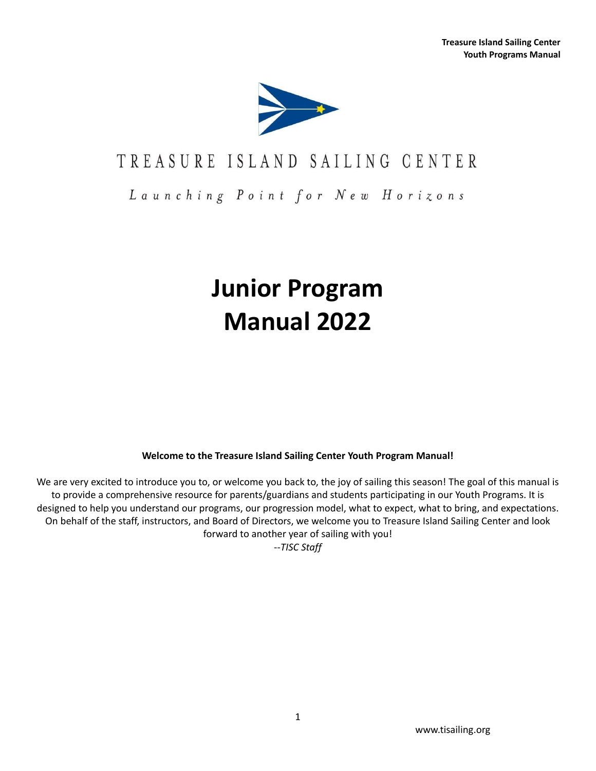

## TREASURE ISLAND SAILING CENTER

Launching Point for New Horizons

# **Junior Program Manual 2022**

**Welcome to the Treasure Island Sailing Center Youth Program Manual!**

We are very excited to introduce you to, or welcome you back to, the joy of sailing this season! The goal of this manual is to provide a comprehensive resource for parents/guardians and students participating in our Youth Programs. It is designed to help you understand our programs, our progression model, what to expect, what to bring, and expectations. On behalf of the staff, instructors, and Board of Directors, we welcome you to Treasure Island Sailing Center and look forward to another year of sailing with you!

--*TISC Staff*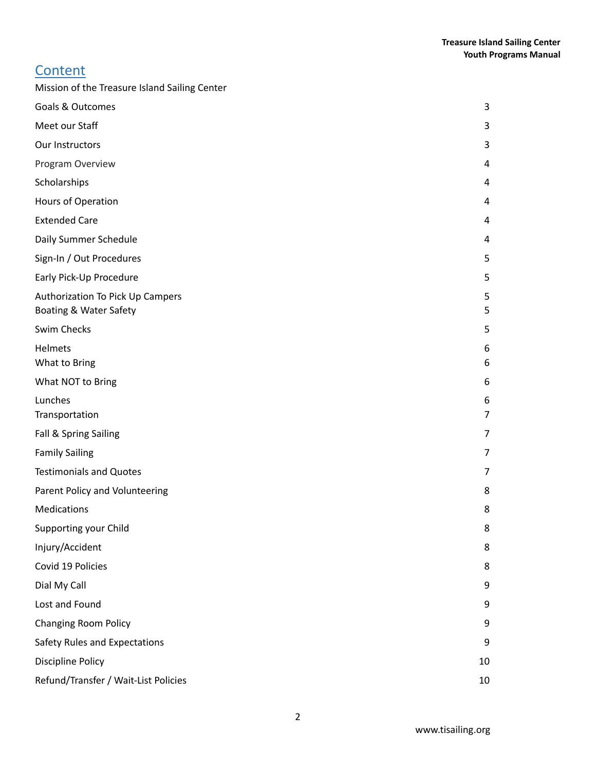### **Content**

| Mission of the Treasure Island Sailing Center              |                |
|------------------------------------------------------------|----------------|
| <b>Goals &amp; Outcomes</b>                                | 3              |
| Meet our Staff                                             | 3              |
| Our Instructors                                            | 3              |
| Program Overview                                           | 4              |
| Scholarships                                               | 4              |
| Hours of Operation                                         | 4              |
| <b>Extended Care</b>                                       | 4              |
| Daily Summer Schedule                                      | 4              |
| Sign-In / Out Procedures                                   | 5              |
| Early Pick-Up Procedure                                    | 5              |
| Authorization To Pick Up Campers<br>Boating & Water Safety | 5<br>5         |
| Swim Checks                                                | 5              |
| <b>Helmets</b><br>What to Bring                            | 6<br>6         |
| What NOT to Bring                                          | 6              |
| Lunches                                                    | 6              |
| Transportation                                             | $\overline{7}$ |
| Fall & Spring Sailing                                      | 7              |
| <b>Family Sailing</b>                                      | 7              |
| <b>Testimonials and Quotes</b>                             | 7              |
| Parent Policy and Volunteering                             | 8              |
| Medications                                                | 8              |
| Supporting your Child                                      | 8              |
| Injury/Accident                                            | 8              |
| Covid 19 Policies                                          | 8              |
| Dial My Call                                               | 9              |
| Lost and Found                                             | 9              |
| <b>Changing Room Policy</b>                                | 9              |
| Safety Rules and Expectations                              | 9              |
| <b>Discipline Policy</b>                                   | 10             |
| Refund/Transfer / Wait-List Policies                       | 10             |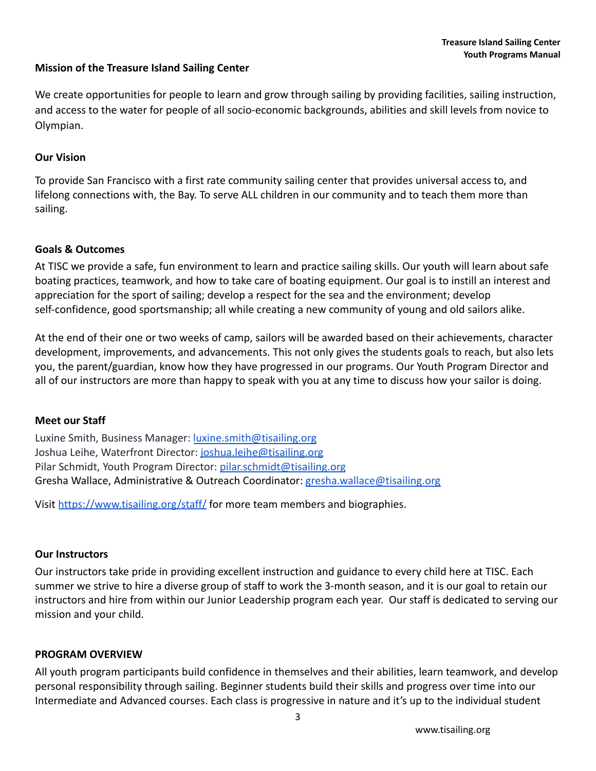#### <span id="page-2-0"></span>**Mission of the Treasure Island Sailing Center**

We create opportunities for people to learn and grow through sailing by providing facilities, sailing instruction, and access to the water for people of all socio-economic backgrounds, abilities and skill levels from novice to Olympian.

#### **Our Vision**

To provide San Francisco with a first rate community sailing center that provides universal access to, and lifelong connections with, the Bay. To serve ALL children in our community and to teach them more than sailing.

#### <span id="page-2-1"></span>**Goals & Outcomes**

At TISC we provide a safe, fun environment to learn and practice sailing skills. Our youth will learn about safe boating practices, teamwork, and how to take care of boating equipment. Our goal is to instill an interest and appreciation for the sport of sailing; develop a respect for the sea and the environment; develop self-confidence, good sportsmanship; all while creating a new community of young and old sailors alike.

At the end of their one or two weeks of camp, sailors will be awarded based on their achievements, character development, improvements, and advancements. This not only gives the students goals to reach, but also lets you, the parent/guardian, know how they have progressed in our programs. Our Youth Program Director and all of our instructors are more than happy to speak with you at any time to discuss how your sailor is doing.

#### <span id="page-2-2"></span>**Meet our Staff**

Luxine Smith, Business Manager: [luxine.smith@tisailing.org](mailto:luxine.smith@tisailing.org) Joshua Leihe, Waterfront Director: [joshua.leihe@tisailing.org](mailto:joshua.leihe@tisailing.org) Pilar Schmidt, Youth Program Director: [pilar.schmidt@tisailing.org](mailto:pilar.schmidt@tisailing.org) Gresha Wallace, Administrative & Outreach Coordinator: [gresha.wallace@tisailing.org](mailto:gresha.wallace@tisailing.org)

Visit <https://www.tisailing.org/staff/> for more team members and biographies.

#### <span id="page-2-3"></span>**Our Instructors**

Our instructors take pride in providing excellent instruction and guidance to every child here at TISC. Each summer we strive to hire a diverse group of staff to work the 3-month season, and it is our goal to retain our instructors and hire from within our Junior Leadership program each year. Our staff is dedicated to serving our mission and your child.

#### <span id="page-2-4"></span>**PROGRAM OVERVIEW**

All youth program participants build confidence in themselves and their abilities, learn teamwork, and develop personal responsibility through sailing. Beginner students build their skills and progress over time into our Intermediate and Advanced courses. Each class is progressive in nature and it's up to the individual student

3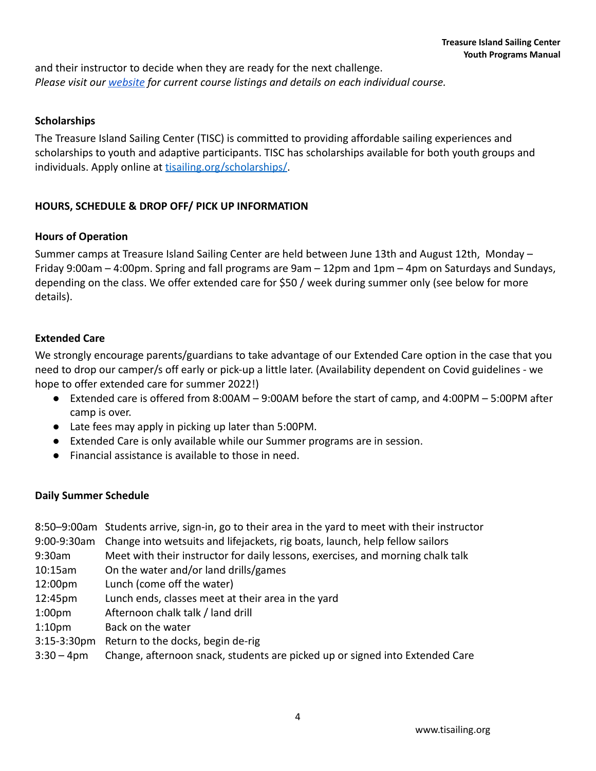and their instructor to decide when they are ready for the next challenge. *Please visit our [website](https://www.tisailing.org/youth/) for current course listings and details on each individual course.*

#### <span id="page-3-0"></span>**[Scholarships](https://www.tisailing.org/scholarships/)**

The Treasure Island Sailing Center (TISC) is committed to providing affordable sailing experiences and scholarships to youth and adaptive participants. TISC has scholarships available for both youth groups and individuals. Apply online at [tisailing.org/scholarships/](https://app.tisailing.org/event/2884).

#### **HOURS, SCHEDULE & DROP OFF/ PICK UP INFORMATION**

#### <span id="page-3-1"></span>**Hours of Operation**

Summer camps at Treasure Island Sailing Center are held between June 13th and August 12th, Monday – Friday 9:00am – 4:00pm. Spring and fall programs are 9am – 12pm and 1pm – 4pm on Saturdays and Sundays, depending on the class. We offer extended care for \$50 / week during summer only (see below for more details).

#### <span id="page-3-2"></span>**Extended Care**

We strongly encourage parents/guardians to take advantage of our Extended Care option in the case that you need to drop our camper/s off early or pick-up a little later. (Availability dependent on Covid guidelines - we hope to offer extended care for summer 2022!)

- Extended care is offered from 8:00AM 9:00AM before the start of camp, and 4:00PM 5:00PM after camp is over.
- Late fees may apply in picking up later than 5:00PM.
- Extended Care is only available while our Summer programs are in session.
- Financial assistance is available to those in need.

#### <span id="page-3-3"></span>**Daily Summer Schedule**

- 8:50–9:00am Students arrive, sign-in, go to their area in the yard to meet with their instructor
- 9:00-9:30am Change into wetsuits and lifejackets, rig boats, launch, help fellow sailors
- 9:30am Meet with their instructor for daily lessons, exercises, and morning chalk talk
- 10:15am On the water and/or land drills/games
- 12:00pm Lunch (come off the water)
- 12:45pm Lunch ends, classes meet at their area in the yard
- 1:00pm Afternoon chalk talk / land drill
- 1:10pm Back on the water
- 3:15-3:30pm Return to the docks, begin de-rig
- 3:30 4pm Change, afternoon snack, students are picked up or signed into Extended Care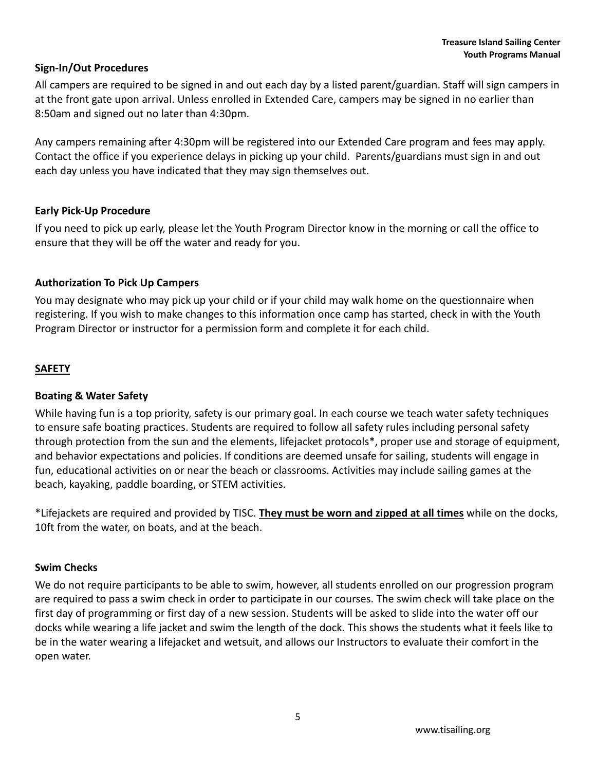#### <span id="page-4-0"></span>**Sign-In/Out Procedures**

All campers are required to be signed in and out each day by a listed parent/guardian. Staff will sign campers in at the front gate upon arrival. Unless enrolled in Extended Care, campers may be signed in no earlier than 8:50am and signed out no later than 4:30pm.

Any campers remaining after 4:30pm will be registered into our Extended Care program and fees may apply. Contact the office if you experience delays in picking up your child. Parents/guardians must sign in and out each day unless you have indicated that they may sign themselves out.

#### <span id="page-4-1"></span>**Early Pick-Up Procedure**

If you need to pick up early, please let the Youth Program Director know in the morning or call the office to ensure that they will be off the water and ready for you.

#### <span id="page-4-2"></span>**Authorization To Pick Up Campers**

You may designate who may pick up your child or if your child may walk home on the questionnaire when registering. If you wish to make changes to this information once camp has started, check in with the Youth Program Director or instructor for a permission form and complete it for each child.

#### <span id="page-4-3"></span>**SAFETY**

#### **Boating & Water Safety**

While having fun is a top priority, safety is our primary goal. In each course we teach water safety techniques to ensure safe boating practices. Students are required to follow all safety rules including personal safety through protection from the sun and the elements, lifejacket protocols\*, proper use and storage of equipment, and behavior expectations and policies. If conditions are deemed unsafe for sailing, students will engage in fun, educational activities on or near the beach or classrooms. Activities may include sailing games at the beach, kayaking, paddle boarding, or STEM activities.

\*Lifejackets are required and provided by TISC. **They must be worn and zipped at all times** while on the docks, 10ft from the water, on boats, and at the beach.

#### <span id="page-4-4"></span>**Swim Checks**

We do not require participants to be able to swim, however, all students enrolled on our progression program are required to pass a swim check in order to participate in our courses. The swim check will take place on the first day of programming or first day of a new session. Students will be asked to slide into the water off our docks while wearing a life jacket and swim the length of the dock. This shows the students what it feels like to be in the water wearing a lifejacket and wetsuit, and allows our Instructors to evaluate their comfort in the open water.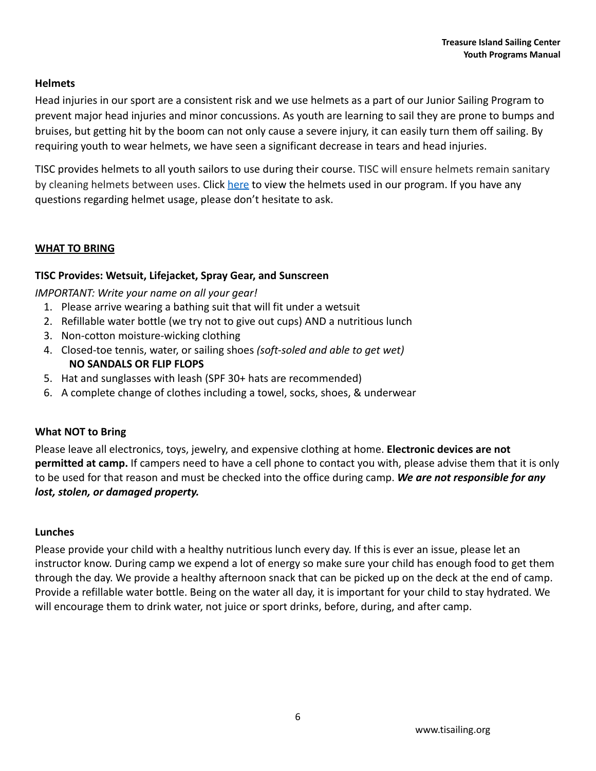#### <span id="page-5-0"></span>**Helmets**

Head injuries in our sport are a consistent risk and we use helmets as a part of our Junior Sailing Program to prevent major head injuries and minor concussions. As youth are learning to sail they are prone to bumps and bruises, but getting hit by the boom can not only cause a severe injury, it can easily turn them off sailing. By requiring youth to wear helmets, we have seen a significant decrease in tears and head injuries.

TISC provides helmets to all youth sailors to use during their course. TISC will ensure helmets remain sanitary by cleaning helmets between uses. Click [here](https://www.bernhelmets.com/products/watts-h2o?variant=13190249381947¤cy=USD&gclid=EAIaIQobChMIp7vu2cCG5gIVFMZkCh05UgXbEAQYAyABEgJ4TvD_BwE) to view the helmets used in our program. If you have any questions regarding helmet usage, please don't hesitate to ask.

#### <span id="page-5-1"></span>**WHAT TO BRING**

#### **TISC Provides: Wetsuit, Lifejacket, Spray Gear, and Sunscreen**

*IMPORTANT: Write your name on all your gear!*

- 1. Please arrive wearing a bathing suit that will fit under a wetsuit
- 2. Refillable water bottle (we try not to give out cups) AND a nutritious lunch
- 3. Non-cotton moisture-wicking clothing
- 4. Closed-toe tennis, water, or sailing shoes *(soft-soled and able to get wet)* **NO SANDALS OR FLIP FLOPS**
- 5. Hat and sunglasses with leash (SPF 30+ hats are recommended)
- 6. A complete change of clothes including a towel, socks, shoes, & underwear

#### <span id="page-5-2"></span>**What NOT to Bring**

Please leave all electronics, toys, jewelry, and expensive clothing at home. **Electronic devices are not permitted at camp.** If campers need to have a cell phone to contact you with, please advise them that it is only to be used for that reason and must be checked into the office during camp. *We are not responsible for any lost, stolen, or damaged property.*

#### <span id="page-5-3"></span>**Lunches**

Please provide your child with a healthy nutritious lunch every day. If this is ever an issue, please let an instructor know. During camp we expend a lot of energy so make sure your child has enough food to get them through the day. We provide a healthy afternoon snack that can be picked up on the deck at the end of camp. Provide a refillable water bottle. Being on the water all day, it is important for your child to stay hydrated. We will encourage them to drink water, not juice or sport drinks, before, during, and after camp.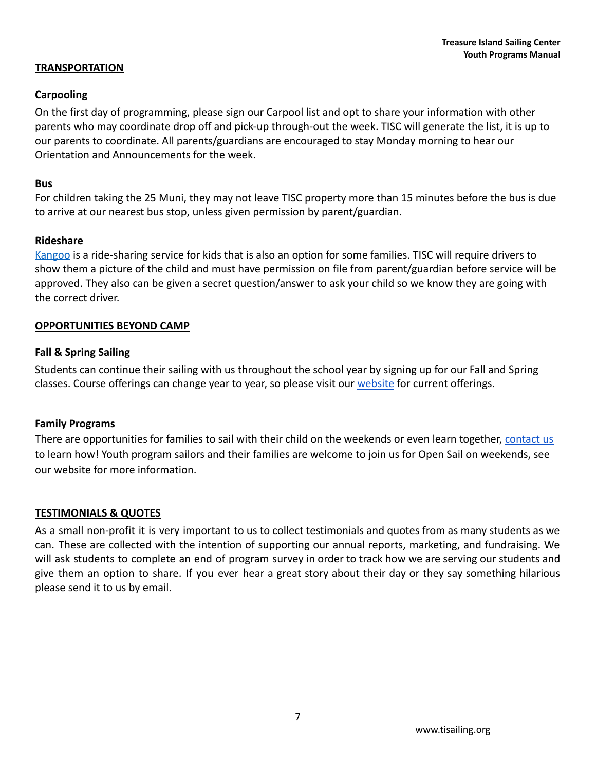#### **TRANSPORTATION**

#### **Carpooling**

On the first day of programming, please sign our Carpool list and opt to share your information with other parents who may coordinate drop off and pick-up through-out the week. TISC will generate the list, it is up to our parents to coordinate. All parents/guardians are encouraged to stay Monday morning to hear our Orientation and Announcements for the week.

#### **Bus**

For children taking the 25 Muni, they may not leave TISC property more than 15 minutes before the bus is due to arrive at our nearest bus stop, unless given permission by parent/guardian.

#### **Rideshare**

[Kangoo](https://www.kangoapp.co/) is a ride-sharing service for kids that is also an option for some families. TISC will require drivers to show them a picture of the child and must have permission on file from parent/guardian before service will be approved. They also can be given a secret question/answer to ask your child so we know they are going with the correct driver.

#### <span id="page-6-0"></span>**OPPORTUNITIES BEYOND CAMP**

#### **Fall & Spring Sailing**

Students can continue their sailing with us throughout the school year by signing up for our Fall and Spring classes. Course offerings can change year to year, so please visit our [website](https://www.tisailing.org/youth/) for current offerings.

#### **Family Programs**

<span id="page-6-1"></span>There are opportunities for families to sail with their child on the weekends or even learn together, [contact us](mailto:manager@tisailing.org) to learn how! Youth program sailors and their families are welcome to join us for Open Sail on weekends, see our website for more information.

#### <span id="page-6-2"></span>**TESTIMONIALS & QUOTES**

As a small non-profit it is very important to us to collect testimonials and quotes from as many students as we can. These are collected with the intention of supporting our annual reports, marketing, and fundraising. We will ask students to complete an end of program survey in order to track how we are serving our students and give them an option to share. If you ever hear a great story about their day or they say something hilarious please send it to us by email.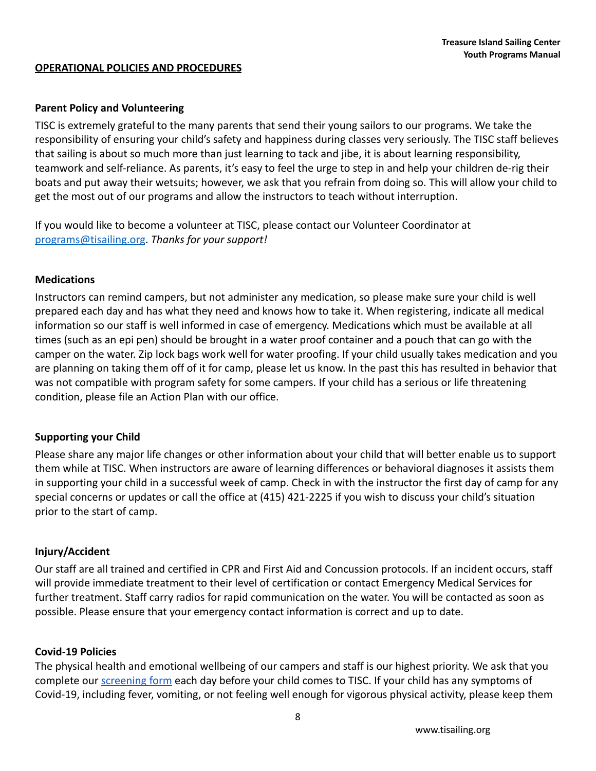#### **OPERATIONAL POLICIES AND PROCEDURES**

#### <span id="page-7-0"></span>**Parent Policy and Volunteering**

TISC is extremely grateful to the many parents that send their young sailors to our programs. We take the responsibility of ensuring your child's safety and happiness during classes very seriously. The TISC staff believes that sailing is about so much more than just learning to tack and jibe, it is about learning responsibility, teamwork and self-reliance. As parents, it's easy to feel the urge to step in and help your children de-rig their boats and put away their wetsuits; however, we ask that you refrain from doing so. This will allow your child to get the most out of our programs and allow the instructors to teach without interruption.

If you would like to become a volunteer at TISC, please contact our Volunteer Coordinator at [programs@tisailing.org](mailto:programs@tisailing.org). *Thanks for your support!*

#### <span id="page-7-1"></span>**Medications**

Instructors can remind campers, but not administer any medication, so please make sure your child is well prepared each day and has what they need and knows how to take it. When registering, indicate all medical information so our staff is well informed in case of emergency. Medications which must be available at all times (such as an epi pen) should be brought in a water proof container and a pouch that can go with the camper on the water. Zip lock bags work well for water proofing. If your child usually takes medication and you are planning on taking them off of it for camp, please let us know. In the past this has resulted in behavior that was not compatible with program safety for some campers. If your child has a serious or life threatening condition, please file an Action Plan with our office.

#### <span id="page-7-2"></span>**Supporting your Child**

Please share any major life changes or other information about your child that will better enable us to support them while at TISC. When instructors are aware of learning differences or behavioral diagnoses it assists them in supporting your child in a successful week of camp. Check in with the instructor the first day of camp for any special concerns or updates or call the office at (415) 421-2225 if you wish to discuss your child's situation prior to the start of camp.

#### <span id="page-7-3"></span>**Injury/Accident**

Our staff are all trained and certified in CPR and First Aid and Concussion protocols. If an incident occurs, staff will provide immediate treatment to their level of certification or contact Emergency Medical Services for further treatment. Staff carry radios for rapid communication on the water. You will be contacted as soon as possible. Please ensure that your emergency contact information is correct and up to date.

#### <span id="page-7-4"></span>**Covid-19 Policies**

The physical health and emotional wellbeing of our campers and staff is our highest priority. We ask that you complete our [screening form](https://docs.google.com/forms/d/e/1FAIpQLScEqD3TDA9fuXME_Bs0Ag9yS1D9V7bG8memHRfJWIholBy6RA/viewform?usp=sf_link) each day before your child comes to TISC. If your child has any symptoms of Covid-19, including fever, vomiting, or not feeling well enough for vigorous physical activity, please keep them

8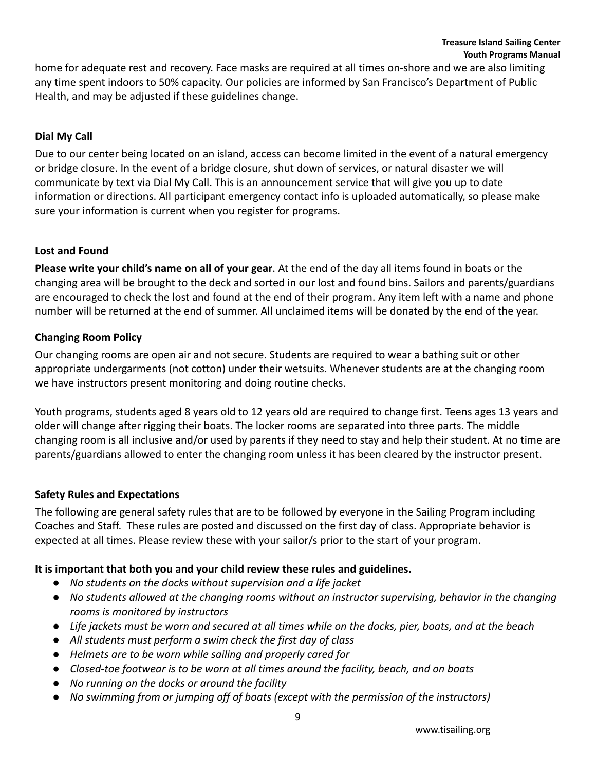home for adequate rest and recovery. Face masks are required at all times on-shore and we are also limiting any time spent indoors to 50% capacity. Our policies are informed by San Francisco's Department of Public Health, and may be adjusted if these guidelines change.

#### <span id="page-8-0"></span>**Dial My Call**

Due to our center being located on an island, access can become limited in the event of a natural emergency or bridge closure. In the event of a bridge closure, shut down of services, or natural disaster we will communicate by text via Dial My Call. This is an announcement service that will give you up to date information or directions. All participant emergency contact info is uploaded automatically, so please make sure your information is current when you register for programs.

#### <span id="page-8-1"></span>**Lost and Found**

**Please write your child's name on all of your gear**. At the end of the day all items found in boats or the changing area will be brought to the deck and sorted in our lost and found bins. Sailors and parents/guardians are encouraged to check the lost and found at the end of their program. Any item left with a name and phone number will be returned at the end of summer. All unclaimed items will be donated by the end of the year.

#### <span id="page-8-2"></span>**Changing Room Policy**

Our changing rooms are open air and not secure. Students are required to wear a bathing suit or other appropriate undergarments (not cotton) under their wetsuits. Whenever students are at the changing room we have instructors present monitoring and doing routine checks.

Youth programs, students aged 8 years old to 12 years old are required to change first. Teens ages 13 years and older will change after rigging their boats. The locker rooms are separated into three parts. The middle changing room is all inclusive and/or used by parents if they need to stay and help their student. At no time are parents/guardians allowed to enter the changing room unless it has been cleared by the instructor present.

#### <span id="page-8-3"></span>**Safety Rules and Expectations**

The following are general safety rules that are to be followed by everyone in the Sailing Program including Coaches and Staff. These rules are posted and discussed on the first day of class. Appropriate behavior is expected at all times. Please review these with your sailor/s prior to the start of your program.

#### **It is important that both you and your child review these rules and guidelines.**

- *● No students on the docks without supervision and a life jacket*
- *● No students allowed at the changing rooms without an instructor supervising, behavior in the changing rooms is monitored by instructors*
- *● Life jackets must be worn and secured at all times while on the docks, pier, boats, and at the beach*
- *● All students must perform a swim check the first day of class*
- *● Helmets are to be worn while sailing and properly cared for*
- *● Closed-toe footwear is to be worn at all times around the facility, beach, and on boats*
- *● No running on the docks or around the facility*
- *● No swimming from or jumping off of boats (except with the permission of the instructors)*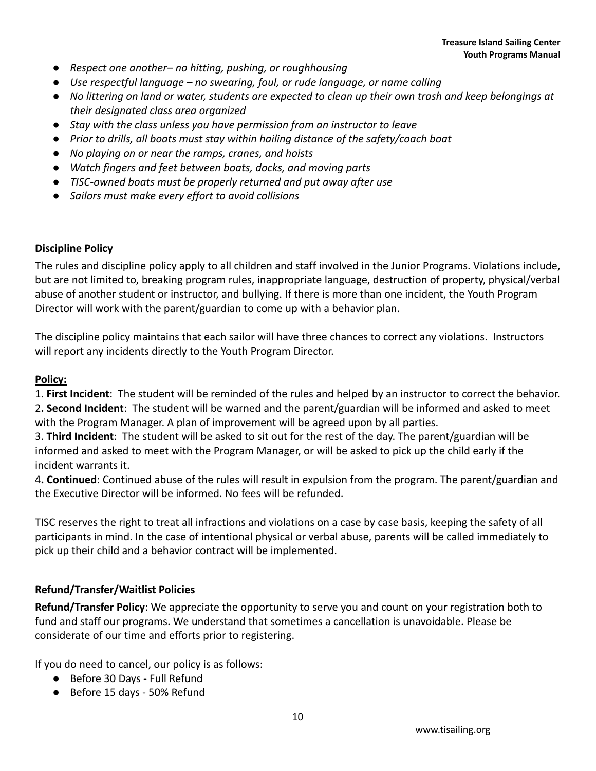- *● Respect one another– no hitting, pushing, or roughhousing*
- *● Use respectful language no swearing, foul, or rude language, or name calling*
- *● No littering on land or water, students are expected to clean up their own trash and keep belongings at their designated class area organized*
- *● Stay with the class unless you have permission from an instructor to leave*
- *● Prior to drills, all boats must stay within hailing distance of the safety/coach boat*
- *● No playing on or near the ramps, cranes, and hoists*
- *● Watch fingers and feet between boats, docks, and moving parts*
- *● TISC-owned boats must be properly returned and put away after use*
- *● Sailors must make every effort to avoid collisions*

#### <span id="page-9-0"></span>**Discipline Policy**

The rules and discipline policy apply to all children and staff involved in the Junior Programs. Violations include, but are not limited to, breaking program rules, inappropriate language, destruction of property, physical/verbal abuse of another student or instructor, and bullying. If there is more than one incident, the Youth Program Director will work with the parent/guardian to come up with a behavior plan.

The discipline policy maintains that each sailor will have three chances to correct any violations. Instructors will report any incidents directly to the Youth Program Director.

#### **Policy:**

1. **First Incident**: The student will be reminded of the rules and helped by an instructor to correct the behavior. 2**. Second Incident**: The student will be warned and the parent/guardian will be informed and asked to meet with the Program Manager. A plan of improvement will be agreed upon by all parties.

3. **Third Incident**: The student will be asked to sit out for the rest of the day. The parent/guardian will be informed and asked to meet with the Program Manager, or will be asked to pick up the child early if the incident warrants it.

4**. Continued**: Continued abuse of the rules will result in expulsion from the program. The parent/guardian and the Executive Director will be informed. No fees will be refunded.

TISC reserves the right to treat all infractions and violations on a case by case basis, keeping the safety of all participants in mind. In the case of intentional physical or verbal abuse, parents will be called immediately to pick up their child and a behavior contract will be implemented.

#### <span id="page-9-1"></span>**Refund/Transfer/Waitlist Policies**

**Refund/Transfer Policy**: We appreciate the opportunity to serve you and count on your registration both to fund and staff our programs. We understand that sometimes a cancellation is unavoidable. Please be considerate of our time and efforts prior to registering.

If you do need to cancel, our policy is as follows:

- Before 30 Days Full Refund
- Before 15 days 50% Refund